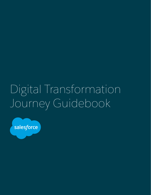# Digital Transformation Journey Guidebook

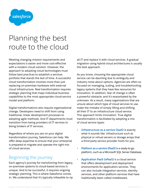

# Planning the best route to the cloud

Meeting changing mission requirements and expectations is easier and more cost-effective with a modern cloud solution. However, the approach to adopting cloud technologies must follow best practices to establish a services portfolio that stands the test of time. A successful cloud transformation involves more than just replacing on-premises hardware with external cloud infrastructure. Real transformation requires strategic planning that maps individual business capabilities to the most appropriate cloud-service model and platform.

Digital transformations also require organizational change. Developers need to shift from using traditional, linear development processes to adopting agile methods. And IT departments must transition from being providers of IT services to being brokers of IT services.

Regardless of where you are on your digital transformation journey, Salesforce can help. We offer deep expertise to ensure that your enterprise is prepared to migrate and operate the right mix of cloud services.

# Beginning the journey

Each agency's journey for transitioning from legacy, on-premises systems to cloud-based services is unique. And to be successful, it requires ongoing strategic planning. This is where Salesforce comes in. We understand that it's typically infeasible to rip all IT and replace it with cloud services. A gradual migration using hybrid-cloud architectures is usually the best approach.

As you know, choosing the appropriate cloud service can be daunting due to ambiguity and industry noise about options. Agencies are often so focused on managing, scaling, and troubleshooting legacy systems that they have few resources for innovation. In addition, fear of change is often a powerful obstacle, and it's exacerbated by the unknown. As a result, many organizations that are unsure about which type of cloud services to use make the mistake of simply lifting and shifting all their IT to an infrastructure cloud service. This approach limits innovation. True digital transformation is facilitated by adopting a mix of cloud service types:

- **• Infrastructure as a service (IaaS)** is exactly what it sounds like: infrastructure such as physical or virtual servers or storage arrays that a third-party service provider hosts for you.
- **• Platform as a service (PaaS)** is a ready-to-go platform, such as a Microsoft SQL Server Database.
- **• Application PaaS (aPaaS)** is a cloud service that offers development and deployment environments for application services. They can also include integration services, identity services, and other platform services that have traditionally been called middleware.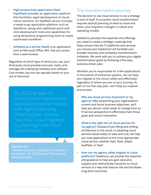- **• High-productivity application PaaS (hpaPaaS)** provides an application platform that facilitates rapid development of cloudnative solutions. An hpaPaaS service includes a ready-to-go application platform such as Salesforce, along with additional point-andclick development tools and capabilities for using declarative programming tools to create automated workflows.
- **• Software as a service (SaaS)** is an application, such as Microsoft Office 365, that you access from a web browser.

Regardless of which type of service you use, your third-party cloud provider procures, hosts, and manages all underlying hardware and software. Cost models vary but are typically based on your use of resources.

percent of all new business applications will be created with high-productivity aPaaS toolsets. Avoid a "two-hop" cloud migration options today.

**Gartner Inc.,**

"Market Guide for Application Platforms," November 23, 2016, Anne Thomas and Aashish Gupta

# The transformation journey

The decision to use cloud services is not a strategy in and of itself. A successful cloud transformation requires tactical planning of what to move and when, plus long-term changes in culture and operating models.

Salesforce provides the expertise and offerings you need to create a strategic roadmap that helps ensure that the IT platforms and services you choose and implement will facilitate your broader business and workplace transformation initiatives. We work with you to achieve your digital transformation goals by following a five-step, business-driven plan.

Whether you're responsible for a few applications or thousands of enterprise systems, we can help you migrate to the cloud—safely and effectively regardless of where you are on your journey. As part of our five-step plan, we'll help you explore and answer:

- **• Why are cloud services important to my agency?** After pinpointing your organization's current and future business objectives, we'll help you discern what needs to change from an IT-service perspective to effectively meet those goals and unlock innovation.
- **• What is the right mix of cloud services for my agency?** Instead of just lifting and shifting architecture to the cloud, or adopting cloud services based solely on ease and cost, we help you map applications to the most appropriate cloud service, whether IaaS, PaaS, aPaaS, hpaPaaS, or SaaS.
- **• How can my agency safely migrate to cloud platforms?** Salesforce can provide the expertise and guidance to help you gain executive support and methodically transition to cloud services in a way that reduces risk and facilitates long-term outcomes.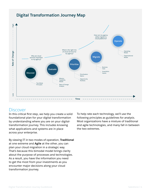

## **Discover**

In this critical first step, we help you create a solid foundational plan for your digital transformation by understanding where you are on your digitaltransformation journey. This includes knowing what applications and systems are in place across your enterprise.

By viewing IT in two modes of operation, **Traditional** at one extreme and **Agile** at the other, you can plan your cloud migration in a strategic way. That's because this bimodal model brings clarity about the purpose of processes and technologies. As a result, you have the information you need to get the most from your investments as you encounter major decisions along your cloud transformation journey.

To help rate each technology, we'll use the following principles as guidelines for analysis. Most organizations have a mixture of traditional and agile technologies, and many fall in between the two extremes.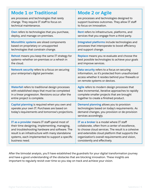| <b>Mode 1 or Traditional</b>                                                                                                                     | <b>Mode 2 or Agile</b>                                                                                                                                                                 |
|--------------------------------------------------------------------------------------------------------------------------------------------------|----------------------------------------------------------------------------------------------------------------------------------------------------------------------------------------|
| are processes and technologies that rarely                                                                                                       | are processes and technologies designed to                                                                                                                                             |
| change. They require IT staff to focus on                                                                                                        | support business outcomes. They allow IT staff                                                                                                                                         |
| technical maintenance.                                                                                                                           | to focus on innovation.                                                                                                                                                                |
| Own refers to technologies that you purchase,                                                                                                    | <b>Rent</b> refers to infrastructure, platforms, and                                                                                                                                   |
| deploy, and manage on-premises.                                                                                                                  | services that you engage from a third party.                                                                                                                                           |
| Monolithic systems are siloed components                                                                                                         | Integrated platforms include technologies and                                                                                                                                          |
| based on proprietary or unsupported                                                                                                              | processes that interoperate to boost efficiency                                                                                                                                        |
| technologies that constrain change.                                                                                                              | and support change.                                                                                                                                                                    |
| Rehost means you keep the same IT strategy for                                                                                                   | Replace means you re-evaluate and choose the                                                                                                                                           |
| systems-whether on-premises or a refresh in                                                                                                      | best possible technologies to achieve your goals                                                                                                                                       |
| the cloud.                                                                                                                                       | and improve services.                                                                                                                                                                  |
| Network security refers to a focus on securing<br>your enterprise's digital perimeter.                                                           | Data security refers to a focus on securing<br>information, so it's protected from unauthorized<br>access whether it resides behind your firewalls or<br>on remote systems or devices. |
| <b>Waterfall refers to traditional design processes</b>                                                                                          | Agile refers to modern design processes that                                                                                                                                           |
| with established steps that must be completed                                                                                                    | take incremental, iterative approaches to rapidly                                                                                                                                      |
| in a linear progression. Revisions occur after the                                                                                               | complete smaller projects that are brought                                                                                                                                             |
| entire project is complete.                                                                                                                      | together to create a finished product.                                                                                                                                                 |
| Capital planning is required when you own and<br>operate your own IT. Purchases are based on<br>today's requirements and tomorrow's projections. | Demand planning allows you to provision<br>technologies based on today's requirements. As<br>demand changes, you provision or de-provision<br>services accordingly.                    |
| IT as a provider means IT staff spend most of                                                                                                    | IT as a broker is a model where IT staff                                                                                                                                               |
| their time designing, implementing, managing,                                                                                                    | collaborate, often from a center of excellence,                                                                                                                                        |
| and troubleshooting hardware and software. The                                                                                                   | to choose cloud services. The result is a cohesive                                                                                                                                     |
| result is an infrastructure with many standalone                                                                                                 | and extensible cloud platform that supports the                                                                                                                                        |
| systems, each implemented to support a specific                                                                                                  | organization's overall requirements and vision,                                                                                                                                        |
| business need.                                                                                                                                   | consistently and effectively.                                                                                                                                                          |

After the bimodal analysis, you'll have established the guardrails for your digital transformation journey and have a good understanding of the obstacles that are blocking innovation. These insights are important to regularly revisit over time so you stay on track and achieve your vision.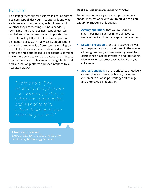# Evaluate

This step gathers critical business insight about the business capabilities your IT supports, identifying each one and its underlying technologies, and whether they are meeting business needs. By identifying individual business capabilities, we can help ensure that each one is supported by the optimal IT platform(s). This is an important distinction because, in many cases, organizations can realize greater value from systems running on hybrid-cloud models that include a mixture of onpremises and cloud-based IT. For example, it might make more sense to keep the database for a legacy application in your data center but migrate its frontend application platform and user interface to an hpaPaaS solution.

and employee collaboration. *"We knew that if we differently about how we* 

**Christine Binnicker** Deputy CIO for the City and County of Denver, Technology Services

#### Build a mission-capability model

To define your agency's business processes and capabilities, we work with you to build a **missioncapability model** that identifies:

- **• Agency operations** that you must do to stay in business, such as financial resource management and human-capital management.
- **• Mission execution** or the services you deliver and requirements you must meet in the course of doing business, such as ensuring regulatory compliance, tracking inventory, and facilitating high levels of customer satisfaction from your call center.
- **• Strategic enablers** that are critical to effectively deliver all underlying capabilities, including customer relationships, strategy and change,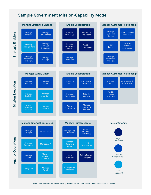#### **Sample Government Mission-Capability Model**



Note: Government-wide mission-capability model is adapted from Federal Enterprise Architecture Framework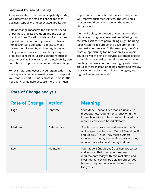#### Segment by rate of change

After we establish the mission-capability model, we'll determine the **rate of change** for each business capability and associated application.

Rate of change measures the expected speed of business-process evolution and the degree of action from IT staff to update infrastructure, applications, or supporting services. It takes into account an application's ability to meet business requirements, such as regulatory or policy requirements, end user change requests, or release schedules. IT considerations such as security, availability levels, and maintainability also contribute to a process's score for rate of change.

For example, employees at your organization may use a spreadsheet and email program to support your status-report business process. There is little need for change here because there isn't much

opportunity to innovate this process in ways that will improve customer services. Therefore, this process would be ranked low on the rate-ofchange scale.

On the flip side, developers at your organization who are working on a new business offering that facilitates self-service permit filing might be using legacy systems to support the development of new customer services. In this example, there's a massive opportunity for innovation. Developers could deliver the kind of service customers expect in less time by focusing their time and energy on creating the new solution using highly extensible cloud services instead of being constrained by slow provisioning cycles, inflexible technologies, and high software-license costs.

| <b>Rate of Change</b> | <b>Action</b> | <b>Meaning</b>                                                                                                                                                                                                                                     |
|-----------------------|---------------|----------------------------------------------------------------------------------------------------------------------------------------------------------------------------------------------------------------------------------------------------|
| High                  | Innovate      | Your Mode 2 capabilities that are unable to<br>meet business requirements today or in the<br>immediate future unless they're migrated to a<br>more flexible cloud-based platform.                                                                  |
| Medium                | Differentiate | Your business processes and services that fall<br>on the spectrum between Mode 1 (Traditional)<br>and Mode 2 (Agile). They meet business<br>requirements today, but, as time goes on, they<br>require more effort and money to do so.              |
| Low                   | Maintain      | Your Mode 1 (Traditional) business processes<br>and services that meet your business<br>requirements today with minimal effort and<br>investment. They will be able to support your<br>business requirements over the next three to<br>five years. |

#### **Rate-of-Change analysis**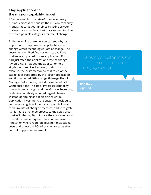#### Map applications to the mission-capability model

After determining the rate of change for every business process, we finalize the mission-capability model. It records your findings by listing all your business processes in a chart that's segmented into the three possible categories for rate of change.

In the following example, you can see why it's important to map business capabilities' rate of change versus technologies' rate of change. The customer identified five business capabilities that were supported by one application. If it had just rated the application's rate of change, it would have mapped the application to a single cloud service. However, during this exercise, the customer found that three of the capabilities supported by the legacy application solution required little change (Manage Payroll, Manage Performance, and Manage Benefits & Compensation). The Track Processes capability needed some change, and the Manage Recruiting & Staffing capability required urgent change. Instead of ripping and replacing its entire application investment, the customer decided to continue using its solution to support its low and medium rate-of-change processes, and to migrate its high-rate-of-change process to the Salesforce hpaPaaS offering. By doing so, the customer could meet its business requirements and improve innovation where required, plus minimize capital costs and boost the ROI of existing systems that can still support requirements.

Salesforce customers see time to market.

**IDC Report** April 2014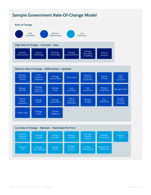### **Sample Government Rate-Of-Change Model**







Digital Transformation Journey Guidebook Salesforce | 10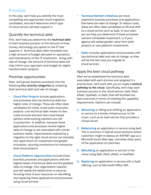# Prioritize

In this step, we'll help you identify the most compelling and appropriate cloud-migration candidates, and we'll determine which type of cloud service will best support it.

#### Quantify the technical debt

First, we'll help you determine the **technical debt**  of each business process—or the amount of time, money, and energy you spend on the IT that supports it. Technical debt often translates into a high amount of budget allocated to operations and maintenance of the IT investment. Along with rate of change, the amount of technical debt will help inform your approach and budget for digital transformation projects.

#### Prioritize opportunities

Next, we'll group business processes into the following **four priority categories** by analyzing their technical debt and rate of change:

- **• Cloud Pilot Projects** include applications and processes with low technical debt but higher rates of change. These are often ideal candidates for initial, small-scale cloud pilot projects. Low technical debt means it's less costly to build and test new cloud-based options while existing solutions are still in production. In addition, because these applications and processes involve higher rates of change or are associated with unmet business needs, improvements realized by a migration to the right cloud service can translate into rapid return on investment and greater innovation, spurring momentum for enterpriselevel cloud projects.
- **• Cloud Platform Opportunities** include those business processes and applications with the highest levels of technical debt and the greatest rates of change. Your organization requires and will realize the fastest time to value by focusing most of your resources on rebuilding and replacing these applications and processes using cloud services.
- **• Technical Refresh Initiatives** are more expensive business processes and applications that have low rates of change. To reduce costs, these are often ideal candidates to lift and shift to a cloud service such as IaaS. In your plan, we can help you determine if these processes warrant immediate investment, or if your agency will realize greater value from pilot projects or new platform investments.
- **• Defer** includes applications and processes with low technical debt and rate of change, so they will be the last ones you migrate to cloud services.

#### Apply the best cloud pathway

After we've established the technical debt associated with each process and assigned it a priority level, we'll work with you to create a **tactical pathway to the cloud**. Specifically, we'll map each business process to the cloud service—IaaS, PaaS, aPaaS, hpaPaaS, or SaaS—that will facilitate the best outcomes in terms of meeting the capability requirements. Options can include:

- **1. Rehosting** or lifting and shifting an application or service to a similar infrastructure in the cloud, such as an IaaS service that provides a virtual server.
- **2. Refactoring** an application or service using IaaS. This is common in hybrid-cloud solutions where customers might re-deploy an ASP.NET app as a Microsoft Azure Web App, and keep other parts of the application on-premises.
- **3. Rebuilding** an application or service in the cloud using IaaS, PaaS, aPaaS, or hpaPaaS.
- **4. Replacing** an application or service with a SaaS offering, such as Microsoft Office 365.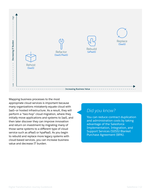

Mapping business processes to the most appropriate cloud services is important because many organizations mistakenly equate cloud with IaaS—or hosted infrastructure. As a result, they will perform a "two-hop" cloud migration, where they initially move applications and systems to IaaS, and then later discover they can improve innovation and return on investment by migrating many of those same systems to a different type of cloud service such as aPaaS or hpaPaaS. As you begin to rebuild and replace more legacy systems with cloud-based services, you can increase business value and decrease IT burden.

# *Did you know?*

You can reduce contract duplication and administration costs by taking advantage of the Salesforce Implementation, Integration, and Support Services (SIISS) Blanket Purchase Agreement (BPA).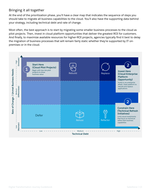#### Bringing it all together

At the end of the prioritization phase, you'll have a clear map that indicates the sequence of steps you should take to migrate all business capabilities to the cloud. You'll also have the supporting data behind your strategy, including technical debt and rate of change.

Most often, the best approach is to start by migrating some smaller business processes to the cloud as pilot projects. Then, invest in cloud platform opportunities that deliver the greatest ROI for customers. And finally, to maximize available resources for higher-ROI projects, agencies typically find it best to delay the migration of business processes that will remain fairly static whether they're supported by IT onpremises or in the cloud.

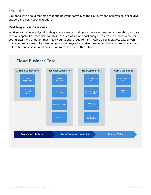# **Migrate**

Equipped with a solid roadmap that outlines your pathway to the cloud, we can help you gain executive support and begin your migration.

#### Building a business case

Working with you as a digital strategy advisor, we can help you compile all required information, such as mission capabilities, technical capabilities, risk profiles, and cost analysis, to create a business case for your digital transformation that meets your agency's requirements. Using a collaborative, data-driven management approach for planning your cloud migration makes it easier to build a business case that's defensible and inspirational, so you can move forward with confidence.



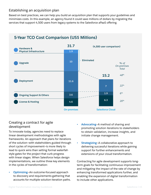#### Establishing an acquisition plan

Based on best practices, we can help you build an acquisition plan that supports your guidelines and minimizes costs. In this example, an agency found it could save millions of dollars by migrating the services that support 4,500 users from legacy systems to the Salesforce aPaaS offering.



# **5-Year TCO Cost Comparison (US\$ Millions)**

#### Creating a contract for agile development

To innovate today, agencies need to replace linear development methodologies with agile frameworks. An approach that plans for iterations of the solution—with stakeholders guided through short cycles of improvement—is more likely to lead to quick wins than setting formal waterfallstyle gates for the project that curb progress with linear stages. When Salesforce helps design implementations, we outline three key elements in the cycles of transformation:

**• Optimizing**—An outcome-focused approach to discovery and requirements-gathering that accounts for multiple solution-iteration paths.

- **• Advocating**—A method of sharing and promoting solution iterations to stakeholders to obtain validation, increase insights, and initiate change management.
- **• Strategizing**—A collaborative approach to delivering successful iterations while gaining support for further enhancements and extensions of your cloud transformation.

Contracting for agile development supports longterm goals for facilitating continuous improvement and mitigating the impact of the rate of change by enhancing transformed applications further, and enabling the expansion of digital transformation to include other applications.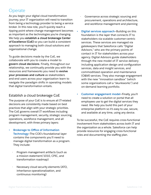# **Operate**

As you begin your digital cloud transformation journey, your IT organization will need to transition from being a technology provider to being a service broker. In this new role, you'll quickly reach a tipping point where change management becomes as important as the technologies you're changing. We help you **establish a cloud brokerage Center of Excellence (CoE)** so you can build a consistent approach to managing both cloud solutions and organizational change.

To guide decisions made by the CoE, we collaborate with you to create a model to **govern cloud decisions**. Finally, throughout our relationship, we continually provide you with the resources and frameworks you need to **evolve your processes and culture** as stakeholders and end users across your organization learn to navigate the paradigm shifts in operating models that digital transformation entails.

#### Establish a cloud brokerage CoE

The purpose of your CoE is to ensure all IT-related decisions are consistently made based on best practices that align with your strategic priorities. The CoE governs overall IT workflows including program management, security, strategic sourcing, operations, workforce management, and all development, with three primary layers:

- **• Brokerage to Office of Information Technology**—The COE's foundational layer contains the components you'll need to manage digital transformation as a program. They include:
	- · Program management artifacts (such as a mission statement/1010, CPIC, and transformation roadmap)
	- Necessary cloud security elements (ATO, inheritance operationalization, and continuous monitoring)
- Governance across strategic sourcing and procurement, operations and architecture, and workforce management and planning
- **• Digital services approach**—Building on this foundation is the layer that connects IT to stakeholders via scalable customer-centric services. These services are managed via gatekeepers that Salesforce calls "Digital Advisors," who are the primary points of contact in IT for stakeholders across your agency. Digital Advisors guide stakeholders through the new model of IT service delivery including application design and configuration services, data and insight services, and commoditized operation and maintenance (O&M) services. They also manage engagement with the new "innovation sandbox" (which some organizations call a "skunkworks") and on-demand learning portfolio.
- **• Customer engagement model**—Finally, you'll need to create a solution or portal that all employees use to get the digital services they need. We help you build this part of your enterprise platform so it's easy to use, secure, and available at any time, using any device.

To be successful, the CoE requires cross-functional involvement from stakeholders across both IT and the organization as a whole. Salesforce can help provide resources for engaging cross-functional roles and documenting the staffing plan.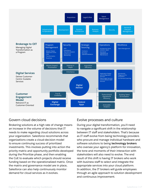

#### Govern cloud decisions

Brokering solutions at a high rate of change means an increase in the volume of decisions that IT needs to make regarding cloud solutions across your organization. Salesforce recommends that organizations create a cloud-decision model to ensure continuing success of prioritized investments. This involves putting into action the priority matrix and opportunity portfolio developed during the Prioritize phase, and then enabling the CoE to evaluate which projects should receive funding based on the operationalized matrix. Once the matrix and governance model are in place, Salesforce can also help continuously monitor demand for cloud services as it evolves.

#### Evolve processes and culture

During your digital transformation, you'll need to navigate a significant shift in the relationship between IT staff and stakeholders. That's because as IT staff evolve from being technology providers who procure and manage individual hardware and software solutions to being **technology brokers** who oversee your agency's platform for innovation, the tone and moments of their interaction with stakeholders will also need to evolve. The end result of this shift is having IT brokers who work with business staff to select and integrate the appropriate services into your cloud platform. In addition, the IT brokers will guide employees through an agile approach to solution development and continuous improvement.